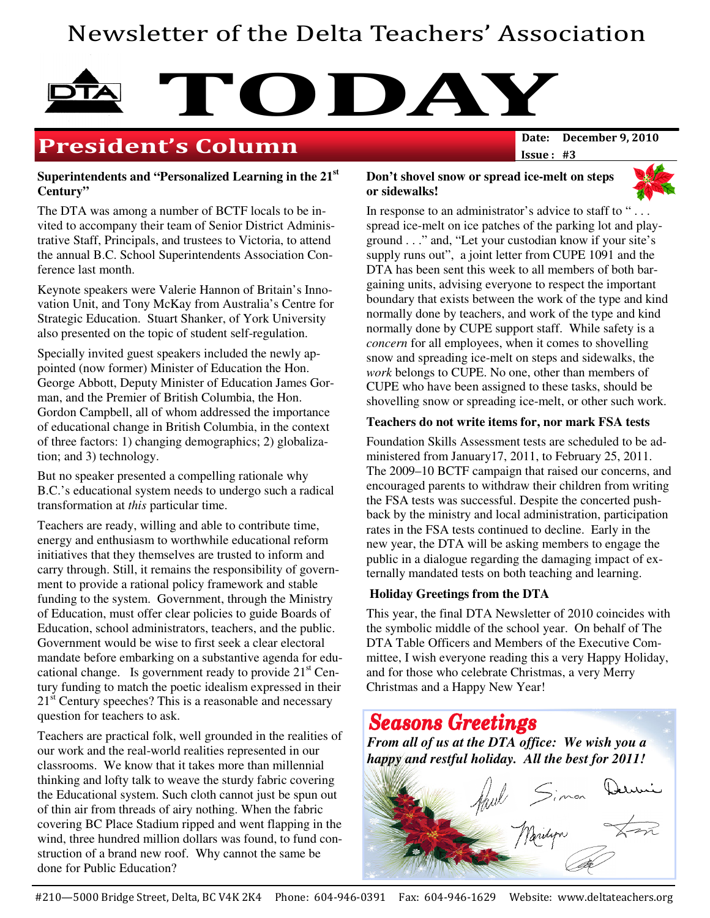## Newsletter of the Delta Teachers' Association

# **TODAY**<br>Date: December 9, 2010

## **President's Column**

Issue : #3

#### **Superintendents and "Personalized Learning in the 21 st Century"**

The DTA was among a number of BCTF locals to be invited to accompany their team of Senior District Administrative Staff, Principals, and trustees to Victoria, to attend the annual B.C. School Superintendents Association Conference last month.

Keynote speakers were Valerie Hannon of Britain's Innovation Unit, and Tony McKay from Australia's Centre for Strategic Education. Stuart Shanker, of York University also presented on the topic of student self-regulation.

Specially invited guest speakers included the newly appointed (now former) Minister of Education the Hon. George Abbott, Deputy Minister of Education James Gorman, and the Premier of British Columbia, the Hon. Gordon Campbell, all of whom addressed the importance of educational change in British Columbia, in the context of three factors: 1) changing demographics; 2) globalization; and 3) technology.

But no speaker presented a compelling rationale why B.C.'s educational system needs to undergo such a radical transformation at *this* particular time.

Teachers are ready, willing and able to contribute time, energy and enthusiasm to worthwhile educational reform initiatives that they themselves are trusted to inform and carry through. Still, it remains the responsibility of government to provide a rational policy framework and stable funding to the system. Government, through the Ministry of Education, must offer clear policies to guide Boards of Education, school administrators, teachers, and the public. Government would be wise to first seek a clear electoral mandate before embarking on a substantive agenda for educational change. Is government ready to provide  $21<sup>st</sup>$  Century funding to match the poetic idealism expressed in their 21<sup>st</sup> Century speeches? This is a reasonable and necessary question for teachers to ask.

Teachers are practical folk, well grounded in the realities of our work and the real-world realities represented in our classrooms. We know that it takes more than millennial thinking and lofty talk to weave the sturdy fabric covering the Educational system. Such cloth cannot just be spun out of thin air from threads of airy nothing. When the fabric covering BC Place Stadium ripped and went flapping in the wind, three hundred million dollars was found, to fund construction of a brand new roof. Why cannot the same be done for Public Education?

#### **Don't shovel snow or spread ice-melt on steps or sidewalks!**



In response to an administrator's advice to staff to "... spread ice-melt on ice patches of the parking lot and playground . . ." and, "Let your custodian know if your site's supply runs out", a joint letter from CUPE 1091 and the DTA has been sent this week to all members of both bargaining units, advising everyone to respect the important boundary that exists between the work of the type and kind normally done by teachers, and work of the type and kind normally done by CUPE support staff. While safety is a *concern* for all employees, when it comes to shovelling snow and spreading ice-melt on steps and sidewalks, the *work* belongs to CUPE. No one, other than members of CUPE who have been assigned to these tasks, should be shovelling snow or spreading ice-melt, or other such work.

#### **Teachers do not write items for, nor mark FSA tests**

Foundation Skills Assessment tests are scheduled to be administered from January17, 2011, to February 25, 2011. The 2009–10 BCTF campaign that raised our concerns, and encouraged parents to withdraw their children from writing the FSA tests was successful. Despite the concerted pushback by the ministry and local administration, participation rates in the FSA tests continued to decline. Early in the new year, the DTA will be asking members to engage the public in a dialogue regarding the damaging impact of externally mandated tests on both teaching and learning.

#### **Holiday Greetings from the DTA**

This year, the final DTA Newsletter of 2010 coincides with the symbolic middle of the school year. On behalf of The DTA Table Officers and Members of the Executive Committee, I wish everyone reading this a very Happy Holiday, and for those who celebrate Christmas, a very Merry Christmas and a Happy New Year!

## **Seasons Greetings**

*From all of us at the DTA office: We wish you a happy and restful holiday. All the best for 2011!*